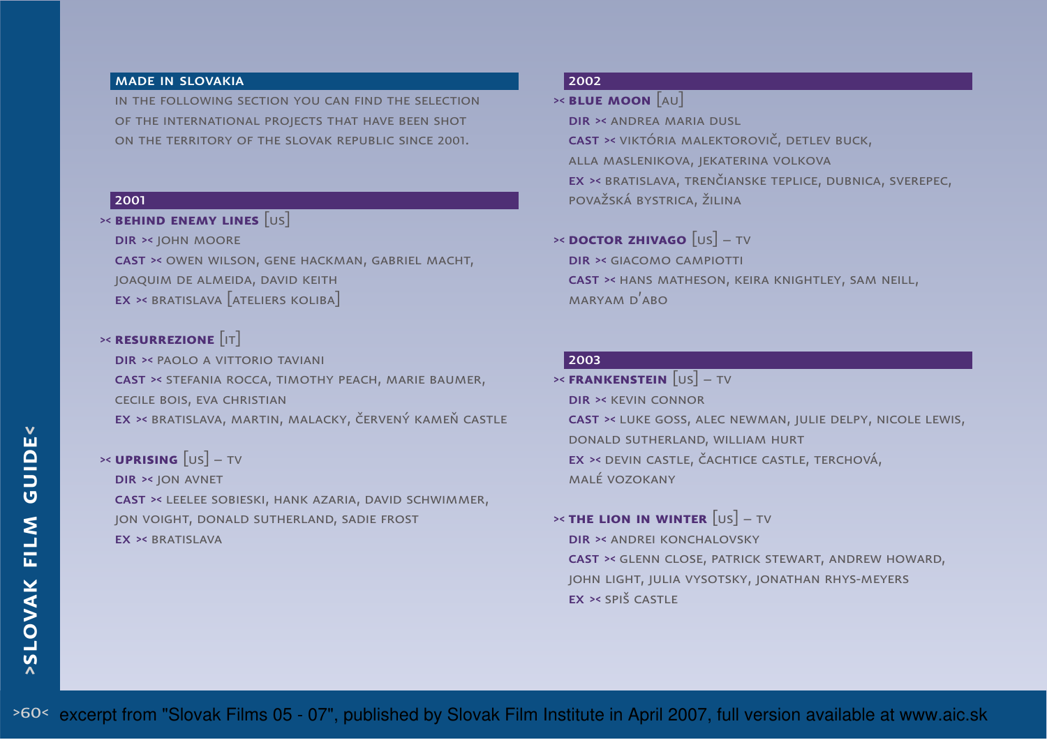#### made in slovakia

in the following section you can find the selectionof the international projects that have been shot on the territory of the slovak republic since 2001.

#### 2001

# >< **behind enemy lines** [us]

dir >< john moore

cast >< owen wilson, gene hackman, gabriel macht, joaquim de almeida, david keith $\mathsf{EX} \geq \mathsf{BRATISLAVA} \big[$ ateliers koliba $\big]$ 

# >< **resurrezione** [it]

dir >< paolo a vittorio tavianicast >< stefania rocca, timothy peach, marie baumer, cecile bois, eva christianex >< bratislava, martin, malacky, červený kameň castle

### >< **uprising** [us] – tvdir >< jon avnetcast >< leelee sobieski, hank azaria, david schwimmer, jon voight, donald sutherland, sadie frost

EX >< BRATISLAVA

### 2002

# >< **blue moon** [au]

dir >< andrea maria dusl cast >< viktória malektorovič, detlev buck, alla maslenikova, jekaterina volkova ex >< bratislava, trenčianske teplice, dubnica, sverepec,považská bystrica, žilina

# >< **doctor zhivago** [us] – tv

dir >< giacomo campiotticast >< hans matheson, keira knightley, sam neill, maryam d'abo

#### 2003

 >< **frankenstein** [us] – tvdir >< kevin connor cast >< luke goss, alec newman, julie delpy, nicole lewis,donald sutherland, william hurt ex >< devin castle, čachtice castle, terchová, malé vozokany

# >< **the lion in winter** [us] – tv

dir >< andrei konchalovsky cast >< glenn close, patrick stewart, andrew howard, john light, julia vysotsky, jonathan rhys-meyersex >< spiš castle

>60< excerpt from "Slovak Films 05 - 07", published by Slovak Film Institute in April 2007, full version available at www.aic.sk